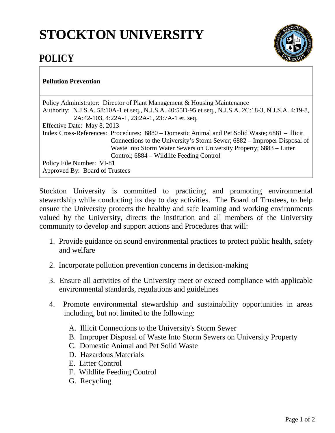## **STOCKTON UNIVERSITY**

## **POLICY**



## **Pollution Prevention**

| Policy Administrator: Director of Plant Management & Housing Maintenance                             |
|------------------------------------------------------------------------------------------------------|
| Authority: N.J.S.A. 58:10A-1 et seq., N.J.S.A. 40:55D-95 et seq., N.J.S.A. 2C:18-3, N.J.S.A. 4:19-8, |
| 2A:42-103, 4:22A-1, 23:2A-1, 23:7A-1 et. seq.                                                        |
| Effective Date: May 8, 2013                                                                          |
| Index Cross-References: Procedures: 6880 – Domestic Animal and Pet Solid Waste; 6881 – Illicit       |
| Connections to the University's Storm Sewer; 6882 – Improper Disposal of                             |
| Waste Into Storm Water Sewers on University Property; 6883 – Litter                                  |
| Control; 6884 – Wildlife Feeding Control                                                             |
| Policy File Number: VI-81                                                                            |
| Approved By: Board of Trustees                                                                       |

Stockton University is committed to practicing and promoting environmental stewardship while conducting its day to day activities. The Board of Trustees, to help ensure the University protects the healthy and safe learning and working environments valued by the University, directs the institution and all members of the University community to develop and support actions and Procedures that will:

- 1. Provide guidance on sound environmental practices to protect public health, safety and welfare
- 2. Incorporate pollution prevention concerns in decision-making
- 3. Ensure all activities of the University meet or exceed compliance with applicable environmental standards, regulations and guidelines
- 4. Promote environmental stewardship and sustainability opportunities in areas including, but not limited to the following:
	- A. Illicit Connections to the University's Storm Sewer
	- B. Improper Disposal of Waste Into Storm Sewers on University Property
	- C. Domestic Animal and Pet Solid Waste
	- D. Hazardous Materials
	- E. Litter Control
	- F. Wildlife Feeding Control
	- G. Recycling